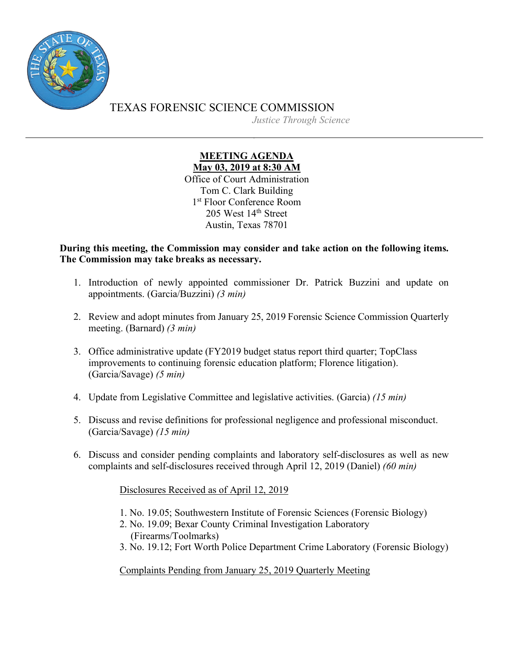

TEXAS FORENSIC SCIENCE COMMISSION *Justice Through Science*

## **MEETING AGENDA May 03, 2019 at 8:30 AM**

Office of Court Administration Tom C. Clark Building 1st Floor Conference Room 205 West 14th Street Austin, Texas 78701

**During this meeting, the Commission may consider and take action on the following items. The Commission may take breaks as necessary.**

- 1. Introduction of newly appointed commissioner Dr. Patrick Buzzini and update on appointments. (Garcia/Buzzini) *(3 min)*
- 2. Review and adopt minutes from January 25, 2019 Forensic Science Commission Quarterly meeting. (Barnard) *(3 min)*
- 3. Office administrative update (FY2019 budget status report third quarter; TopClass improvements to continuing forensic education platform; Florence litigation). (Garcia/Savage) *(5 min)*
- 4. Update from Legislative Committee and legislative activities. (Garcia) *(15 min)*
- 5. Discuss and revise definitions for professional negligence and professional misconduct. (Garcia/Savage) *(15 min)*
- 6. Discuss and consider pending complaints and laboratory self-disclosures as well as new complaints and self-disclosures received through April 12, 2019 (Daniel) *(60 min)*

Disclosures Received as of April 12, 2019

- 1. No. 19.05; Southwestern Institute of Forensic Sciences (Forensic Biology)
- 2. No. 19.09; Bexar County Criminal Investigation Laboratory (Firearms/Toolmarks)
- 3. No. 19.12; Fort Worth Police Department Crime Laboratory (Forensic Biology)

Complaints Pending from January 25, 2019 Quarterly Meeting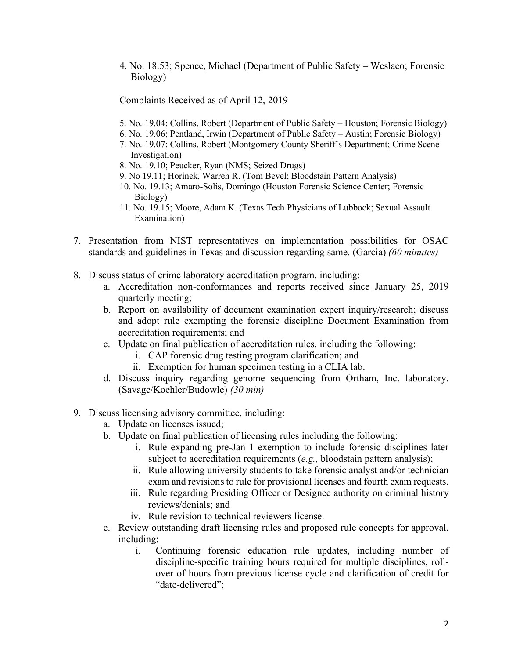4. No. 18.53; Spence, Michael (Department of Public Safety – Weslaco; Forensic Biology)

## Complaints Received as of April 12, 2019

- 5. No. 19.04; Collins, Robert (Department of Public Safety Houston; Forensic Biology)
- 6. No. 19.06; Pentland, Irwin (Department of Public Safety Austin; Forensic Biology)
- 7. No. 19.07; Collins, Robert (Montgomery County Sheriff's Department; Crime Scene Investigation)
- 8. No. 19.10; Peucker, Ryan (NMS; Seized Drugs)
- 9. No 19.11; Horinek, Warren R. (Tom Bevel; Bloodstain Pattern Analysis)
- 10. No. 19.13; Amaro-Solis, Domingo (Houston Forensic Science Center; Forensic Biology)
- 11. No. 19.15; Moore, Adam K. (Texas Tech Physicians of Lubbock; Sexual Assault Examination)
- 7. Presentation from NIST representatives on implementation possibilities for OSAC standards and guidelines in Texas and discussion regarding same. (Garcia) *(60 minutes)*
- 8. Discuss status of crime laboratory accreditation program, including:
	- a. Accreditation non-conformances and reports received since January 25, 2019 quarterly meeting;
	- b. Report on availability of document examination expert inquiry/research; discuss and adopt rule exempting the forensic discipline Document Examination from accreditation requirements; and
	- c. Update on final publication of accreditation rules, including the following:
		- i. CAP forensic drug testing program clarification; and
		- ii. Exemption for human specimen testing in a CLIA lab.
	- d. Discuss inquiry regarding genome sequencing from Ortham, Inc. laboratory. (Savage/Koehler/Budowle) *(30 min)*
- 9. Discuss licensing advisory committee, including:
	- a. Update on licenses issued;
	- b. Update on final publication of licensing rules including the following:
		- i. Rule expanding pre-Jan 1 exemption to include forensic disciplines later subject to accreditation requirements (*e.g.,* bloodstain pattern analysis);
		- ii. Rule allowing university students to take forensic analyst and/or technician exam and revisions to rule for provisional licenses and fourth exam requests.
		- iii. Rule regarding Presiding Officer or Designee authority on criminal history reviews/denials; and
		- iv. Rule revision to technical reviewers license.
	- c. Review outstanding draft licensing rules and proposed rule concepts for approval, including:
		- i. Continuing forensic education rule updates, including number of discipline-specific training hours required for multiple disciplines, rollover of hours from previous license cycle and clarification of credit for "date-delivered";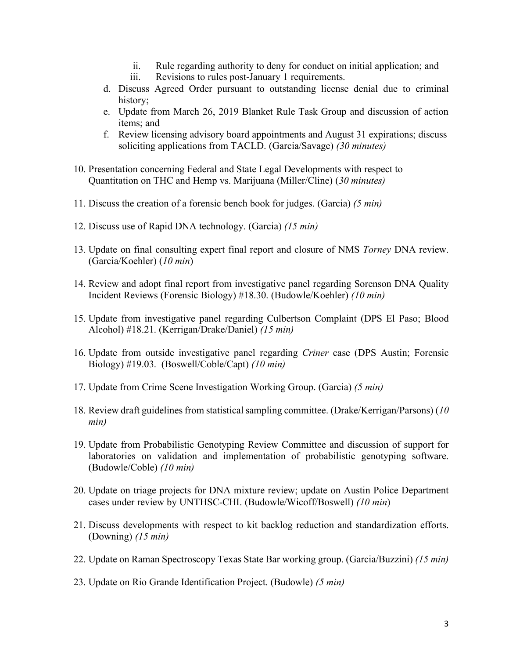- ii. Rule regarding authority to deny for conduct on initial application; and
- iii. Revisions to rules post-January 1 requirements.
- d. Discuss Agreed Order pursuant to outstanding license denial due to criminal history;
- e. Update from March 26, 2019 Blanket Rule Task Group and discussion of action items; and
- f. Review licensing advisory board appointments and August 31 expirations; discuss soliciting applications from TACLD. (Garcia/Savage) *(30 minutes)*
- 10. Presentation concerning Federal and State Legal Developments with respect to Quantitation on THC and Hemp vs. Marijuana (Miller/Cline) (*30 minutes)*
- 11. Discuss the creation of a forensic bench book for judges. (Garcia) *(5 min)*
- 12. Discuss use of Rapid DNA technology. (Garcia) *(15 min)*
- 13. Update on final consulting expert final report and closure of NMS *Torney* DNA review. (Garcia/Koehler) (*10 min*)
- 14. Review and adopt final report from investigative panel regarding Sorenson DNA Quality Incident Reviews (Forensic Biology) #18.30. (Budowle/Koehler) *(10 min)*
- 15. Update from investigative panel regarding Culbertson Complaint (DPS El Paso; Blood Alcohol) #18.21. (Kerrigan/Drake/Daniel) *(15 min)*
- 16. Update from outside investigative panel regarding *Criner* case (DPS Austin; Forensic Biology) #19.03. (Boswell/Coble/Capt) *(10 min)*
- 17. Update from Crime Scene Investigation Working Group. (Garcia) *(5 min)*
- 18. Review draft guidelines from statistical sampling committee. (Drake/Kerrigan/Parsons) (*10 min)*
- 19. Update from Probabilistic Genotyping Review Committee and discussion of support for laboratories on validation and implementation of probabilistic genotyping software. (Budowle/Coble) *(10 min)*
- 20. Update on triage projects for DNA mixture review; update on Austin Police Department cases under review by UNTHSC-CHI. (Budowle/Wicoff/Boswell) *(10 min*)
- 21. Discuss developments with respect to kit backlog reduction and standardization efforts. (Downing) *(15 min)*
- 22. Update on Raman Spectroscopy Texas State Bar working group. (Garcia/Buzzini) *(15 min)*
- 23. Update on Rio Grande Identification Project. (Budowle) *(5 min)*